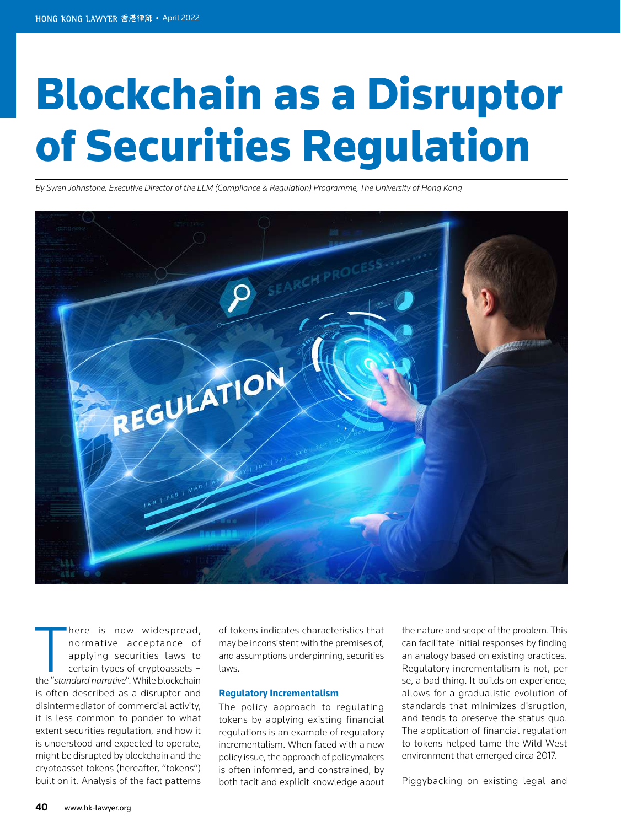# Blockchain as a Disruptor of Securities Regulation

*By Syren Johnstone, Executive Director of the LLM (Compliance & Regulation) Programme, The University of Hong Kong*



**there is now widespread,**<br> **normative acceptance of**<br> **applying securities laws to**<br> **certain types of cryptoassets –<br>
the "standard narrative". While blockchain** here is now widespread, normative acceptance of applying securities laws to certain types of cryptoassets – is often described as a disruptor and disintermediator of commercial activity, it is less common to ponder to what extent securities regulation, and how it is understood and expected to operate, might be disrupted by blockchain and the cryptoasset tokens (hereafter, "tokens") built on it. Analysis of the fact patterns

of tokens indicates characteristics that may be inconsistent with the premises of, and assumptions underpinning, securities laws.

### **Regulatory Incrementalism**

The policy approach to regulating tokens by applying existing financial regulations is an example of regulatory incrementalism. When faced with a new policy issue, the approach of policymakers is often informed, and constrained, by both tacit and explicit knowledge about the nature and scope of the problem. This can facilitate initial responses by finding an analogy based on existing practices. Regulatory incrementalism is not, per se, a bad thing. It builds on experience, allows for a gradualistic evolution of standards that minimizes disruption, and tends to preserve the status quo. The application of financial regulation to tokens helped tame the Wild West environment that emerged circa 2017.

Piggybacking on existing legal and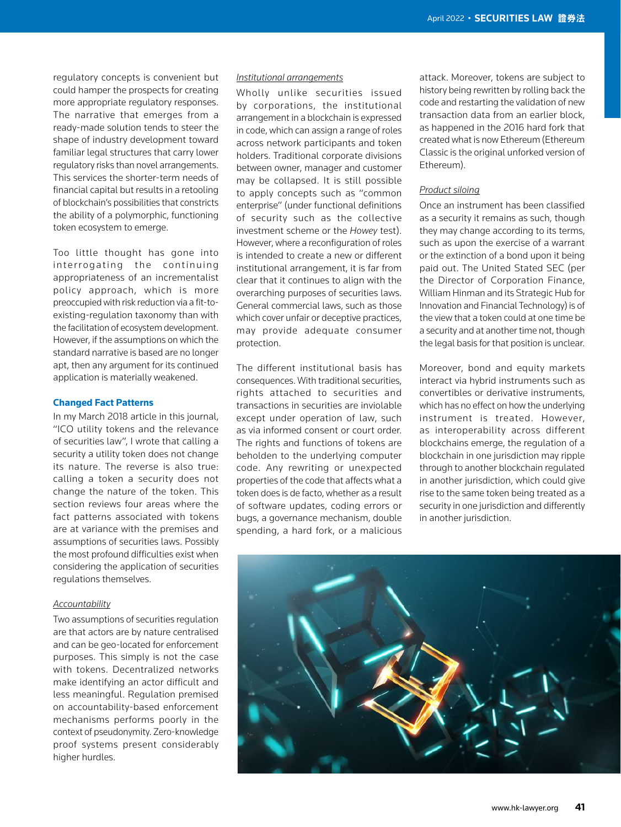regulatory concepts is convenient but could hamper the prospects for creating more appropriate regulatory responses. The narrative that emerges from a ready-made solution tends to steer the shape of industry development toward familiar legal structures that carry lower regulatory risks than novel arrangements. This services the shorter-term needs of financial capital but results in a retooling of blockchain's possibilities that constricts the ability of a polymorphic, functioning token ecosystem to emerge.

Too little thought has gone into interrogating the continuing appropriateness of an incrementalist policy approach, which is more preoccupied with risk reduction via a fit-toexisting-regulation taxonomy than with the facilitation of ecosystem development. However, if the assumptions on which the standard narrative is based are no longer apt, then any argument for its continued application is materially weakened.

#### **Changed Fact Patterns**

In my March 2018 article in this journal, "ICO utility tokens and the relevance of securities law", I wrote that calling a security a utility token does not change its nature. The reverse is also true: calling a token a security does not change the nature of the token. This section reviews four areas where the fact patterns associated with tokens are at variance with the premises and assumptions of securities laws. Possibly the most profound difficulties exist when considering the application of securities regulations themselves.

## *Accountability*

Two assumptions of securities regulation are that actors are by nature centralised and can be geo-located for enforcement purposes. This simply is not the case with tokens. Decentralized networks make identifying an actor difficult and less meaningful. Regulation premised on accountability-based enforcement mechanisms performs poorly in the context of pseudonymity. Zero-knowledge proof systems present considerably higher hurdles.

## *Institutional arrangements*

Wholly unlike securities issued by corporations, the institutional arrangement in a blockchain is expressed in code, which can assign a range of roles across network participants and token holders. Traditional corporate divisions between owner, manager and customer may be collapsed. It is still possible to apply concepts such as "common enterprise" (under functional definitions of security such as the collective investment scheme or the *Howey* test). However, where a reconfiguration of roles is intended to create a new or different institutional arrangement, it is far from clear that it continues to align with the overarching purposes of securities laws. General commercial laws, such as those which cover unfair or deceptive practices, may provide adequate consumer protection.

The different institutional basis has consequences. With traditional securities, rights attached to securities and transactions in securities are inviolable except under operation of law, such as via informed consent or court order. The rights and functions of tokens are beholden to the underlying computer code. Any rewriting or unexpected properties of the code that affects what a token does is de facto, whether as a result of software updates, coding errors or bugs, a governance mechanism, double spending, a hard fork, or a malicious

attack. Moreover, tokens are subject to history being rewritten by rolling back the code and restarting the validation of new transaction data from an earlier block, as happened in the 2016 hard fork that created what is now Ethereum (Ethereum Classic is the original unforked version of Ethereum).

## *Product siloing*

Once an instrument has been classified as a security it remains as such, though they may change according to its terms, such as upon the exercise of a warrant or the extinction of a bond upon it being paid out. The United Stated SEC (per the Director of Corporation Finance, William Hinman and its Strategic Hub for Innovation and Financial Technology) is of the view that a token could at one time be a security and at another time not, though the legal basis for that position is unclear.

Moreover, bond and equity markets interact via hybrid instruments such as convertibles or derivative instruments, which has no effect on how the underlying instrument is treated. However, as interoperability across different blockchains emerge, the regulation of a blockchain in one jurisdiction may ripple through to another blockchain regulated in another jurisdiction, which could give rise to the same token being treated as a security in one jurisdiction and differently in another jurisdiction.

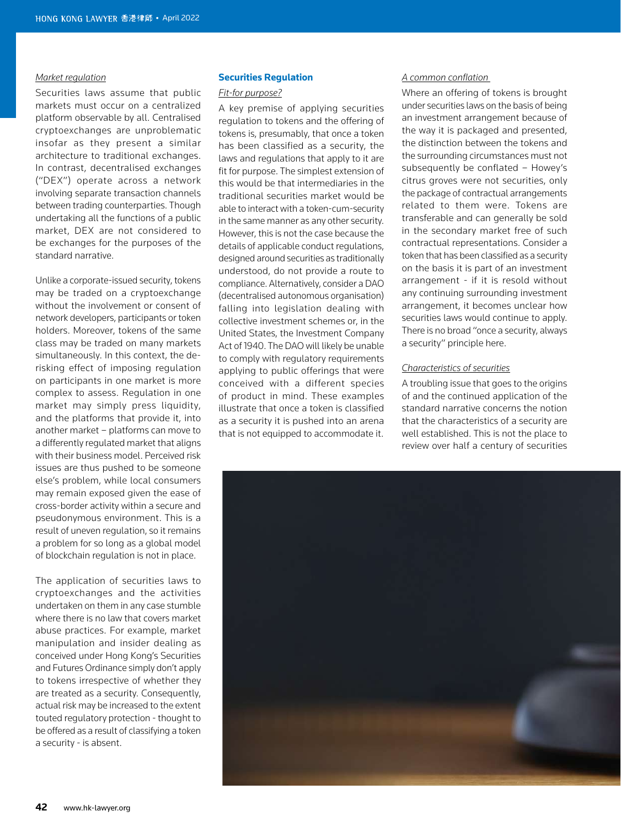## *Market regulation*

Securities laws assume that public markets must occur on a centralized platform observable by all. Centralised cryptoexchanges are unproblematic insofar as they present a similar architecture to traditional exchanges. In contrast, decentralised exchanges ("DEX") operate across a network involving separate transaction channels between trading counterparties. Though undertaking all the functions of a public market, DEX are not considered to be exchanges for the purposes of the standard narrative.

Unlike a corporate-issued security, tokens may be traded on a cryptoexchange without the involvement or consent of network developers, participants or token holders. Moreover, tokens of the same class may be traded on many markets simultaneously. In this context, the derisking effect of imposing regulation on participants in one market is more complex to assess. Regulation in one market may simply press liquidity, and the platforms that provide it, into another market – platforms can move to a differently regulated market that aligns with their business model. Perceived risk issues are thus pushed to be someone else's problem, while local consumers may remain exposed given the ease of cross-border activity within a secure and pseudonymous environment. This is a result of uneven regulation, so it remains a problem for so long as a global model of blockchain regulation is not in place.

The application of securities laws to cryptoexchanges and the activities undertaken on them in any case stumble where there is no law that covers market abuse practices. For example, market manipulation and insider dealing as conceived under Hong Kong's Securities and Futures Ordinance simply don't apply to tokens irrespective of whether they are treated as a security. Consequently, actual risk may be increased to the extent touted regulatory protection - thought to be offered as a result of classifying a token a security - is absent.

## **Securities Regulation**

### *Fit-for purpose?*

A key premise of applying securities regulation to tokens and the offering of tokens is, presumably, that once a token has been classified as a security, the laws and regulations that apply to it are fit for purpose. The simplest extension of this would be that intermediaries in the traditional securities market would be able to interact with a token-cum-security in the same manner as any other security. However, this is not the case because the details of applicable conduct regulations, designed around securities as traditionally understood, do not provide a route to compliance. Alternatively, consider a DAO (decentralised autonomous organisation) falling into legislation dealing with collective investment schemes or, in the United States, the Investment Company Act of 1940. The DAO will likely be unable to comply with regulatory requirements applying to public offerings that were conceived with a different species of product in mind. These examples illustrate that once a token is classified as a security it is pushed into an arena that is not equipped to accommodate it.

## *A common conflation*

Where an offering of tokens is brought under securities laws on the basis of being an investment arrangement because of the way it is packaged and presented, the distinction between the tokens and the surrounding circumstances must not subsequently be conflated – Howey's citrus groves were not securities, only the package of contractual arrangements related to them were. Tokens are transferable and can generally be sold in the secondary market free of such contractual representations. Consider a token that has been classified as a security on the basis it is part of an investment arrangement - if it is resold without any continuing surrounding investment arrangement, it becomes unclear how securities laws would continue to apply. There is no broad "once a security, always a security" principle here.

# *Characteristics of securities*

A troubling issue that goes to the origins of and the continued application of the standard narrative concerns the notion that the characteristics of a security are well established. This is not the place to review over half a century of securities

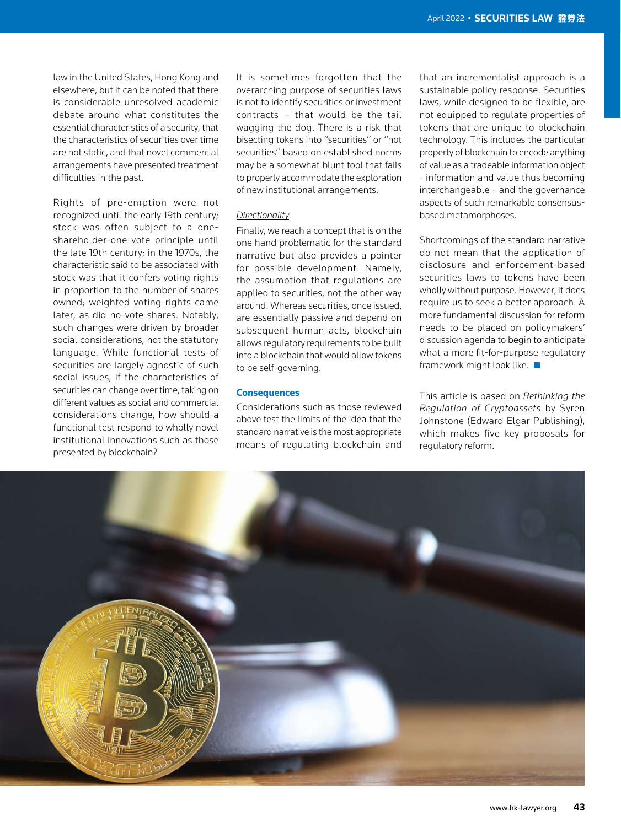law in the United States, Hong Kong and elsewhere, but it can be noted that there is considerable unresolved academic debate around what constitutes the essential characteristics of a security, that the characteristics of securities over time are not static, and that novel commercial arrangements have presented treatment difficulties in the past.

Rights of pre-emption were not recognized until the early 19th century; stock was often subject to a oneshareholder-one-vote principle until the late 19th century; in the 1970s, the characteristic said to be associated with stock was that it confers voting rights in proportion to the number of shares owned; weighted voting rights came later, as did no-vote shares. Notably, such changes were driven by broader social considerations, not the statutory language. While functional tests of securities are largely agnostic of such social issues, if the characteristics of securities can change over time, taking on different values as social and commercial considerations change, how should a functional test respond to wholly novel institutional innovations such as those presented by blockchain?

It is sometimes forgotten that the overarching purpose of securities laws is not to identify securities or investment contracts – that would be the tail wagging the dog. There is a risk that bisecting tokens into "securities" or "not securities" based on established norms may be a somewhat blunt tool that fails to properly accommodate the exploration of new institutional arrangements.

## *Directionality*

Finally, we reach a concept that is on the one hand problematic for the standard narrative but also provides a pointer for possible development. Namely, the assumption that regulations are applied to securities, not the other way around. Whereas securities, once issued, are essentially passive and depend on subsequent human acts, blockchain allows regulatory requirements to be built into a blockchain that would allow tokens to be self-governing.

## **Consequences**

Considerations such as those reviewed above test the limits of the idea that the standard narrative is the most appropriate means of regulating blockchain and that an incrementalist approach is a sustainable policy response. Securities laws, while designed to be flexible, are not equipped to regulate properties of tokens that are unique to blockchain technology. This includes the particular property of blockchain to encode anything of value as a tradeable information object - information and value thus becoming interchangeable - and the governance aspects of such remarkable consensusbased metamorphoses.

Shortcomings of the standard narrative do not mean that the application of disclosure and enforcement-based securities laws to tokens have been wholly without purpose. However, it does require us to seek a better approach. A more fundamental discussion for reform needs to be placed on policymakers' discussion agenda to begin to anticipate what a more fit-for-purpose regulatory framework might look like.

This article is based on *Rethinking the Regulation of Cryptoassets* by Syren Johnstone (Edward Elgar Publishing), which makes five key proposals for regulatory reform.

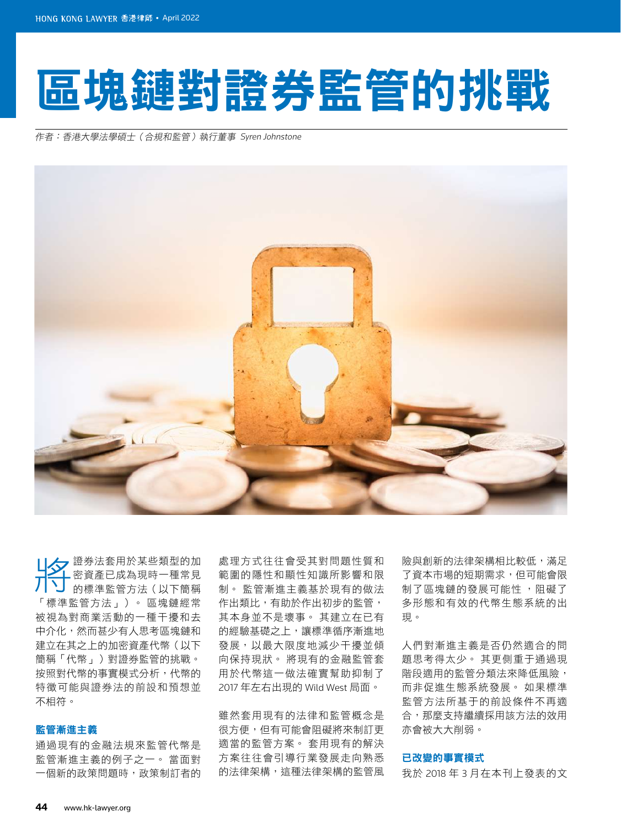# 區塊鏈對證券監管的挑戰

作者:香港大學法學碩士(合規和監管)執行董事 Syren Johnstone



分 證券法套用於某些類型的加 密資產已成為現時一種常見 的標準監管方法(以下簡稱 「標準監管方法」)。 區塊鏈經常 被視為對商業活動的一種干擾和去 中介化,然而甚少有人思考區塊鏈和 建立在其之上的加密資產代幣(以下 簡稱「代幣」)對證券監管的挑戰。 按照對代幣的事實模式分析,代幣的 特徵可能與證券法的前設和預想並 不相符。

# 監管漸進主義

通過現有的金融法規來監管代幣是 監管漸進主義的例子之一。 當面對 一個新的政策問題時,政策制訂者的

處理方式往往會受其對問題性質和 範圍的隱性和顯性知識所影響和限 制。 監管漸進主義基於現有的做法 作出類比,有助於作出初步的監管, 其本身並不是壞事。 其建立在已有 的經驗基礎之上,讓標準循序漸進地 發展,以最大限度地減少干擾並傾 向保持現狀。 將現有的金融監管套 用於代幣這一做法確實幫助抑制了 2017 年左右出現的 Wild West 局面。

雖然套用現有的法律和監管概念是 很方便,但有可能會阻礙將來制訂更 適當的監管方案。 套用現有的解決 方案往往會引導行業發展走向熟悉 的法律架構,這種法律架構的監管風 險與創新的法律架構相比較低,滿足 了資本市場的短期需求,但可能會限 制了區塊鏈的發展可能性 ,阻礙了 多形態和有效的代幣生態系統的出 現。

人們對漸進主義是否仍然適合的問 題思考得太少。 其更側重于通過現 階段適用的監管分類法來降低風險, 而非促進生態系統發展。 如果標準 監管方法所基于的前設條件不再適 合,那麼支持繼續採用該方法的效用 亦會被大大削弱。

## 已改變的事實模式

我於 2018 年 3 月在本刊上發表的文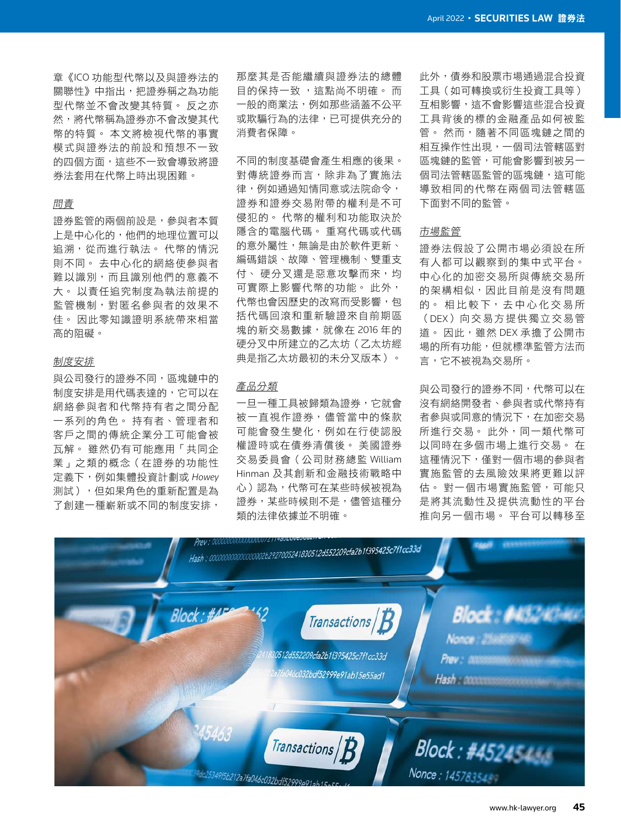章《ICO 功能型代幣以及與證券法的 關聯性》中指出,把證券稱之為功能 型代幣並不會改變其特質。 反之亦 然,將代幣稱為證券亦不會改變其代 幣的特質。 本文將檢視代幣的事實 模式與證券法的前設和預想不一致 的四個方面,這些不一致會導致將證 券法套用在代幣上時出現困難。

# 問責

證券監管的兩個前設是,參與者本質 上是中心化的,他們的地理位置可以 追溯,從而進行執法。 代幣的情況 則不同。 去中心化的網絡使參與者 難以識別,而且識別他們的意義不 大。 以責任追究制度為執法前提的 監管機制,對匿名參與者的效果不 佳。 因此零知識證明系統帶來相當 高的阻礙。

# 制度安排

與公司發行的證券不同,區塊鏈中的 制度安排是用代碼表達的,它可以在 網絡參與者和代幣持有者之間分配 一系列的角色。 持有者、管理者和 客戶之間的傳統企業分工可能會被 瓦解。 雖然仍有可能應用「共同企 業」之類的概念(在證券的功能性 定義下,例如集體投資計劃或 *Howey* 測試),但如果角色的重新配置是為 了創建一種嶄新或不同的制度安排,

那麼其是否能繼續與證券法的總體 日的保持一致 ,狺點尚不明確。 而 一般的商業法,例如那些涵蓋不公平 或欺騙行為的法律,已可提供充分的 消費者保障。

不同的制度基礎會產生相應的後果。 對傳統證券而言,除非為了實施法 律,例如通過知情同意或法院命令, 證券和證券交易附帶的權利是不可 侵犯的。 代幣的權利和功能取決於 隱含的電腦代碼。 重寫代碼或代碼 的意外屬性,無論是由於軟件更新、 編碼錯誤、故障、管理機制、雙重支 付、 硬分叉還是惡意攻擊而來, 均 可實際上影響代幣的功能。 此外, 代幣也會因歷史的改寫而受影響,包 括代碼回滾和重新驗證來自前期區 塊的新交易數據,就像在 2016 年的 硬分叉中所建立的乙太坊(乙太坊經 典是指乙太坊最初的未分叉版本)。

# 產品分類

一旦一種工具被歸類為證券,它就會 被一直視作證券,儘管當中的條款 可能會發生變化,例如在行使認股 權證時或在債券清償後。 美國證券 交易委員會(公司財務總監 William Hinman 及其創新和金融技術戰略中 心)認為,代幣可在某些時候被視為 證券,某些時候則不是,儘管這種分 類的法律依據並不明確。

此外,債券和股票市場通過混合投資 工具(如可轉換或衍生投資工具等) 互相影響,這不會影響這些混合投資 工具背後的標的金融產品如何被監 管。 然而,隨著不同區塊鏈之間的 相互操作性出現,一個司法管轄區對 區塊鏈的監管,可能會影響到被另一 個司法管轄區監管的區塊鏈,這可能 導致相同的代幣在兩個司法管轄區 下面對不同的監管。

### 市場監管

證券法假設了公開市場必須設在所 有人都可以觀察到的集中式平台。 中心化的加密交易所與傳統交易所 的架構相似,因此目前是沒有問題 的。 相比較下,去中心化交易所 (DEX)向交易方提供獨立交易管 道。 因此,雖然 DEX 承擔了公開市 場的所有功能,但就標準監管方法而 言,它不被視為交易所。

與公司發行的證券不同,代幣可以在 沒有網絡開發者、參與者或代幣持有 者參與或同意的情況下,在加密交易 所進行交易。 此外,同一類代幣可 以同時在多個市場上進行交易。 在 這種情況下,僅對一個市場的參與者 實施監管的去風險效果將更難以評 估。 對一個市場實施監管,可能只 是將其流動性及提供流動性的平台 推向另一個市場。 平台可以轉移至